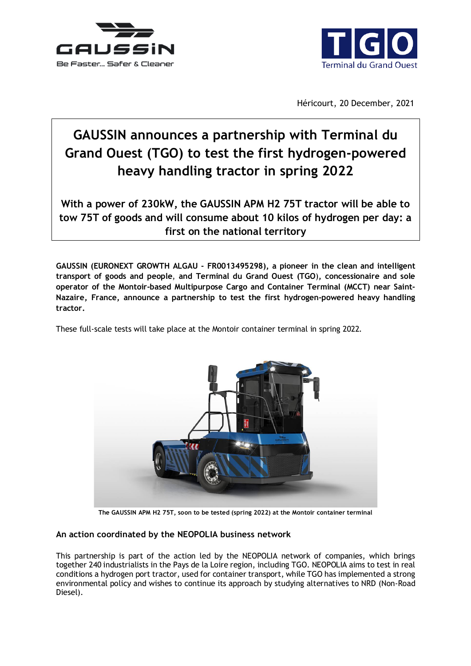



Héricourt, 20 December, 2021

# **GAUSSIN announces a partnership with Terminal du Grand Ouest (TGO) to test the first hydrogen-powered heavy handling tractor in spring 2022**

**With a power of 230kW, the GAUSSIN APM H2 75T tractor will be able to tow 75T of goods and will consume about 10 kilos of hydrogen per day: a first on the national territory**

**GAUSSIN (EURONEXT GROWTH ALGAU - FR0013495298), a pioneer in the clean and intelligent transport of goods and people**, **and Terminal du Grand Ouest (TGO**)**, concessionaire and sole operator of the Montoir-based Multipurpose Cargo and Container Terminal (MCCT) near Saint-Nazaire, France, announce a partnership to test the first hydrogen-powered heavy handling tractor.**

These full-scale tests will take place at the Montoir container terminal in spring 2022.



**The GAUSSIN APM H2 75T, soon to be tested (spring 2022) at the Montoir container terminal**

## **An action coordinated by the NEOPOLIA business network**

This partnership is part of the action led by the NEOPOLIA network of companies, which brings together 240 industrialists in the Pays de la Loire region, including TGO. NEOPOLIA aims to test in real conditions a hydrogen port tractor, used for container transport, while TGO has implemented a strong environmental policy and wishes to continue its approach by studying alternatives to NRD (Non-Road Diesel).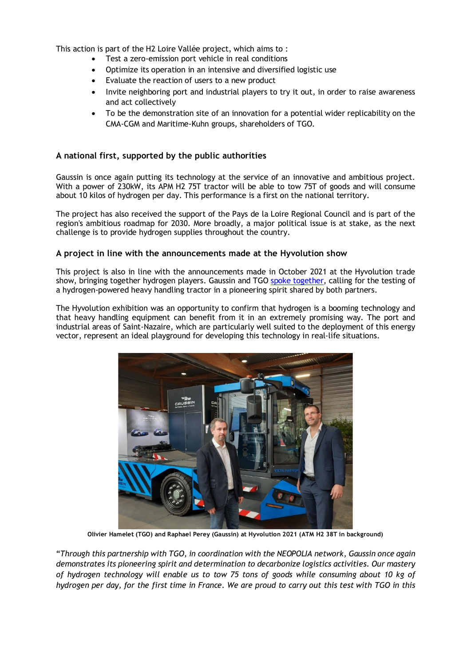This action is part of the H2 Loire Vallée project, which aims to :

- Test a zero-emission port vehicle in real conditions
- Optimize its operation in an intensive and diversified logistic use
- Evaluate the reaction of users to a new product
- Invite neighboring port and industrial players to try it out, in order to raise awareness and act collectively
- To be the demonstration site of an innovation for a potential wider replicability on the CMA-CGM and Maritime-Kuhn groups, shareholders of TGO.

### **A national first, supported by the public authorities**

Gaussin is once again putting its technology at the service of an innovative and ambitious project. With a power of 230kW, its APM H2 75T tractor will be able to tow 75T of goods and will consume about 10 kilos of hydrogen per day. This performance is a first on the national territory.

The project has also received the support of the Pays de la Loire Regional Council and is part of the region's ambitious roadmap for 2030. More broadly, a major political issue is at stake, as the next challenge is to provide hydrogen supplies throughout the country.

#### **A project in line with the announcements made at the Hyvolution show**

This project is also in line with the announcements made in October 2021 at the Hyvolution trade show, bringing together hydrogen players. Gaussin and TGO [spoke together,](https://www.youtube.com/watch?v=P0H3JpkgdWI) calling for the testing of a hydrogen-powered heavy handling tractor in a pioneering spirit shared by both partners.

The Hyvolution exhibition was an opportunity to confirm that hydrogen is a booming technology and that heavy handling equipment can benefit from it in an extremely promising way. The port and industrial areas of Saint-Nazaire, which are particularly well suited to the deployment of this energy vector, represent an ideal playground for developing this technology in real-life situations.



**Olivier Hamelet (TGO) and Raphael Perey (Gaussin) at Hyvolution 2021 (ATM H2 38T in background)**

"*Through this partnership with TGO, in coordination with the NEOPOLIA network, Gaussin once again demonstrates its pioneering spirit and determination to decarbonize logistics activities. Our mastery of hydrogen technology will enable us to tow 75 tons of goods while consuming about 10 kg of hydrogen per day, for the first time in France. We are proud to carry out this test with TGO in this*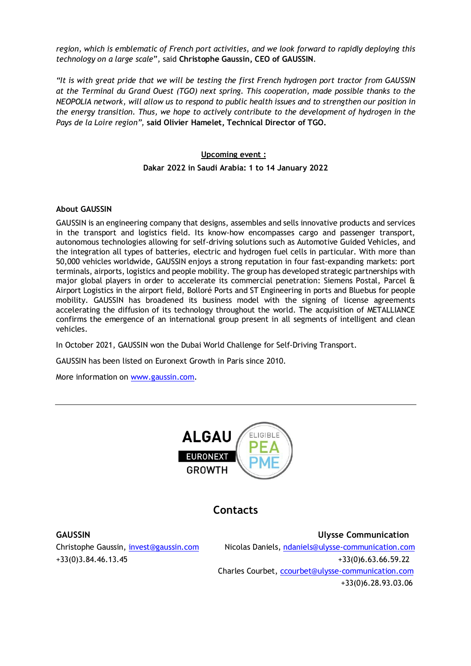*region, which is emblematic of French port activities, and we look forward to rapidly deploying this technology on a large scale*"*,* said **Christophe Gaussin, CEO of GAUSSIN**.

*"It is with great pride that we will be testing the first French hydrogen port tractor from GAUSSIN at the Terminal du Grand Ouest (TGO) next spring. This cooperation, made possible thanks to the NEOPOLIA network, will allow us to respond to public health issues and to strengthen our position in the energy transition. Thus, we hope to actively contribute to the development of hydrogen in the Pays de la Loire region",* **said Olivier Hamelet, Technical Director of TGO.**

## **Upcoming event : Dakar 2022 in Saudi Arabia: 1 to 14 January 2022**

#### **About GAUSSIN**

GAUSSIN is an engineering company that designs, assembles and sells innovative products and services in the transport and logistics field. Its know-how encompasses cargo and passenger transport, autonomous technologies allowing for self-driving solutions such as Automotive Guided Vehicles, and the integration all types of batteries, electric and hydrogen fuel cells in particular. With more than 50,000 vehicles worldwide, GAUSSIN enjoys a strong reputation in four fast-expanding markets: port terminals, airports, logistics and people mobility. The group has developed strategic partnerships with major global players in order to accelerate its commercial penetration: Siemens Postal, Parcel & Airport Logistics in the airport field, Bolloré Ports and ST Engineering in ports and Bluebus for people mobility. GAUSSIN has broadened its business model with the signing of license agreements accelerating the diffusion of its technology throughout the world. The acquisition of METALLIANCE confirms the emergence of an international group present in all segments of intelligent and clean vehicles.

In October 2021, GAUSSIN won the Dubai World Challenge for Self-Driving Transport.

GAUSSIN has been listed on Euronext Growth in Paris since 2010.

More information on [www.gaussin.com.](http://www.gaussin.com/)



## **Contacts**

**GAUSSIN Ulysse Communication** Christophe Gaussin, [invest@gaussin.com](mailto:invest@gaussin.com) Nicolas Daniels, [ndaniels@ulysse-communication.com](mailto:ndaniels@ulysse-communication.com) +33(0)3.84.46.13.45 +33(0)6.63.66.59.22 Charles Courbet, [ccourbet@ulysse-communication.com](mailto:ccourbet@ulysse-communication.com) +33(0)6.28.93.03.06